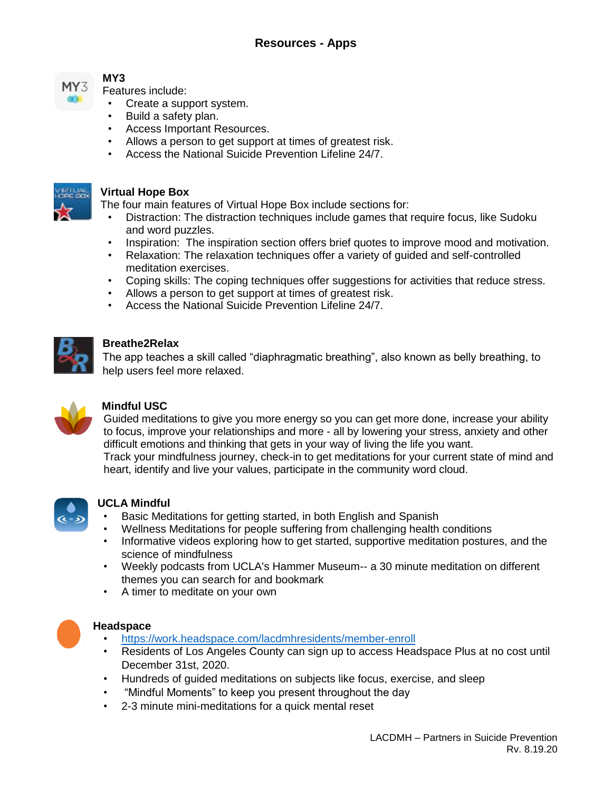

# **MY3**

Features include:

- Create a support system.
- Build a safety plan.
- Access Important Resources.
- Allows a person to get support at times of greatest risk.
- Access the National Suicide Prevention Lifeline 24/7.



#### **Virtual Hope Box**

The four main features of Virtual Hope Box include sections for:

- Distraction: The distraction techniques include games that require focus, like Sudoku and word puzzles.
- Inspiration: The inspiration section offers brief quotes to improve mood and motivation.
- Relaxation: The relaxation techniques offer a variety of guided and self-controlled meditation exercises.
- Coping skills: The coping techniques offer suggestions for activities that reduce stress.
- Allows a person to get support at times of greatest risk.
- Access the National Suicide Prevention Lifeline 24/7.



## **Breathe2Relax**

The app teaches a skill called "diaphragmatic breathing", also known as belly breathing, to help users feel more relaxed.



# **Mindful USC**

Guided meditations to give you more energy so you can get more done, increase your ability to focus, improve your relationships and more - all by lowering your stress, anxiety and other difficult emotions and thinking that gets in your way of living the life you want. Track your mindfulness journey, check-in to get meditations for your current state of mind and heart, identify and live your values, participate in the community word cloud.



### **UCLA Mindful**

- Basic Meditations for getting started, in both English and Spanish
- Wellness Meditations for people suffering from challenging health conditions
- Informative videos exploring how to get started, supportive meditation postures, and the science of mindfulness
- Weekly podcasts from UCLA's Hammer Museum-- a 30 minute meditation on different themes you can search for and bookmark
- A timer to meditate on your own



### **Headspace**

- <https://work.headspace.com/lacdmhresidents/member-enroll>
- Residents of Los Angeles County can sign up to access Headspace Plus at no cost until December 31st, 2020.
- Hundreds of guided meditations on subjects like focus, exercise, and sleep
- "Mindful Moments" to keep you present throughout the day
- 2-3 minute mini-meditations for a quick mental reset